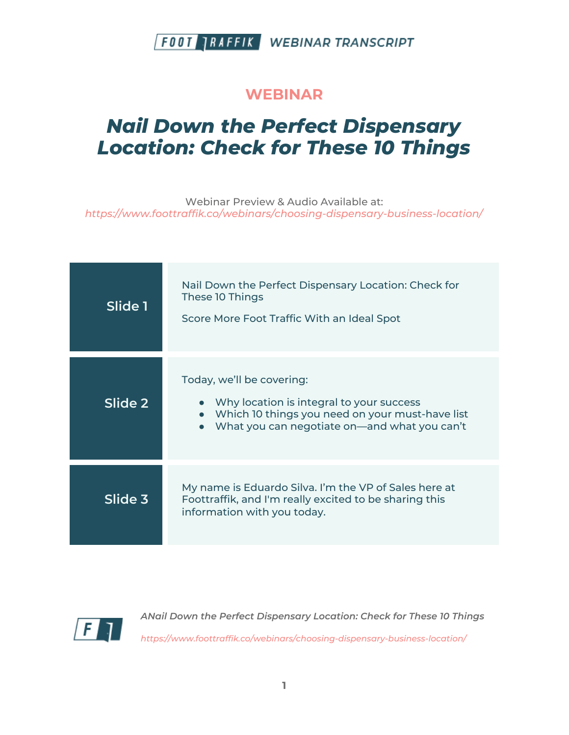#### **WEBINAR**

# *Nail Down the Perfect Dispensary Location: Check for These 10 Things*

Webinar Preview & Audio Available at: *https://www.foottraffik.co/webinars/choosing-dispensary-business-location/*

| Slide 1 | Nail Down the Perfect Dispensary Location: Check for<br>These 10 Things<br>Score More Foot Traffic With an Ideal Spot                                                    |
|---------|--------------------------------------------------------------------------------------------------------------------------------------------------------------------------|
| Slide 2 | Today, we'll be covering:<br>Why location is integral to your success<br>Which 10 things you need on your must-have list<br>What you can negotiate on-and what you can't |
| Slide 3 | My name is Eduardo Silva. I'm the VP of Sales here at<br>Foottraffik, and I'm really excited to be sharing this<br>information with you today.                           |

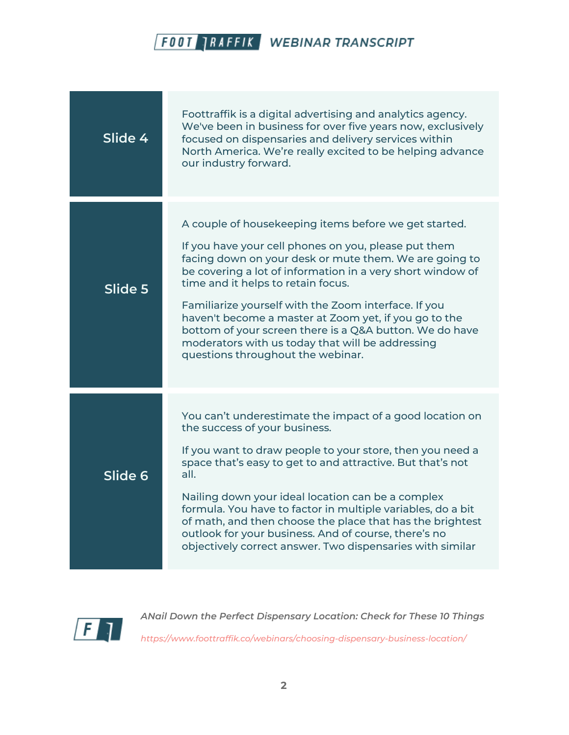

| Slide 4 | Foottraffik is a digital advertising and analytics agency.<br>We've been in business for over five years now, exclusively<br>focused on dispensaries and delivery services within<br>North America. We're really excited to be helping advance<br>our industry forward.                                                                                                                                                                                                                                                                          |
|---------|--------------------------------------------------------------------------------------------------------------------------------------------------------------------------------------------------------------------------------------------------------------------------------------------------------------------------------------------------------------------------------------------------------------------------------------------------------------------------------------------------------------------------------------------------|
| Slide 5 | A couple of housekeeping items before we get started.<br>If you have your cell phones on you, please put them<br>facing down on your desk or mute them. We are going to<br>be covering a lot of information in a very short window of<br>time and it helps to retain focus.<br>Familiarize yourself with the Zoom interface. If you<br>haven't become a master at Zoom yet, if you go to the<br>bottom of your screen there is a Q&A button. We do have<br>moderators with us today that will be addressing<br>questions throughout the webinar. |
| Slide 6 | You can't underestimate the impact of a good location on<br>the success of your business.<br>If you want to draw people to your store, then you need a<br>space that's easy to get to and attractive. But that's not<br>all.<br>Nailing down your ideal location can be a complex<br>formula. You have to factor in multiple variables, do a bit<br>of math, and then choose the place that has the brightest<br>outlook for your business. And of course, there's no<br>objectively correct answer. Two dispensaries with similar               |

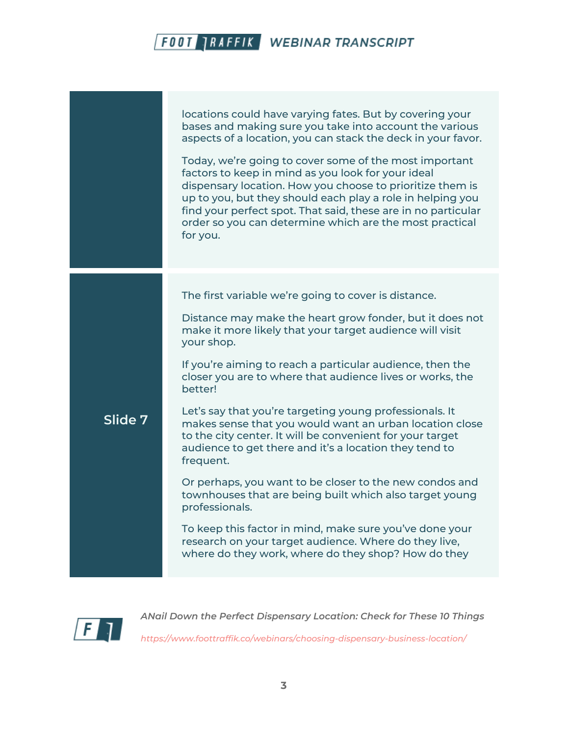|         | locations could have varying fates. But by covering your<br>bases and making sure you take into account the various<br>aspects of a location, you can stack the deck in your favor.<br>Today, we're going to cover some of the most important<br>factors to keep in mind as you look for your ideal<br>dispensary location. How you choose to prioritize them is<br>up to you, but they should each play a role in helping you<br>find your perfect spot. That said, these are in no particular<br>order so you can determine which are the most practical<br>for you. |
|---------|------------------------------------------------------------------------------------------------------------------------------------------------------------------------------------------------------------------------------------------------------------------------------------------------------------------------------------------------------------------------------------------------------------------------------------------------------------------------------------------------------------------------------------------------------------------------|
|         | The first variable we're going to cover is distance.                                                                                                                                                                                                                                                                                                                                                                                                                                                                                                                   |
|         | Distance may make the heart grow fonder, but it does not<br>make it more likely that your target audience will visit<br>your shop.                                                                                                                                                                                                                                                                                                                                                                                                                                     |
|         | If you're aiming to reach a particular audience, then the<br>closer you are to where that audience lives or works, the<br>better!                                                                                                                                                                                                                                                                                                                                                                                                                                      |
| Slide 7 | Let's say that you're targeting young professionals. It<br>makes sense that you would want an urban location close<br>to the city center. It will be convenient for your target<br>audience to get there and it's a location they tend to<br>frequent.                                                                                                                                                                                                                                                                                                                 |
|         | Or perhaps, you want to be closer to the new condos and<br>townhouses that are being built which also target young<br>professionals.                                                                                                                                                                                                                                                                                                                                                                                                                                   |
|         | To keep this factor in mind, make sure you've done your<br>research on your target audience. Where do they live,<br>where do they work, where do they shop? How do they                                                                                                                                                                                                                                                                                                                                                                                                |

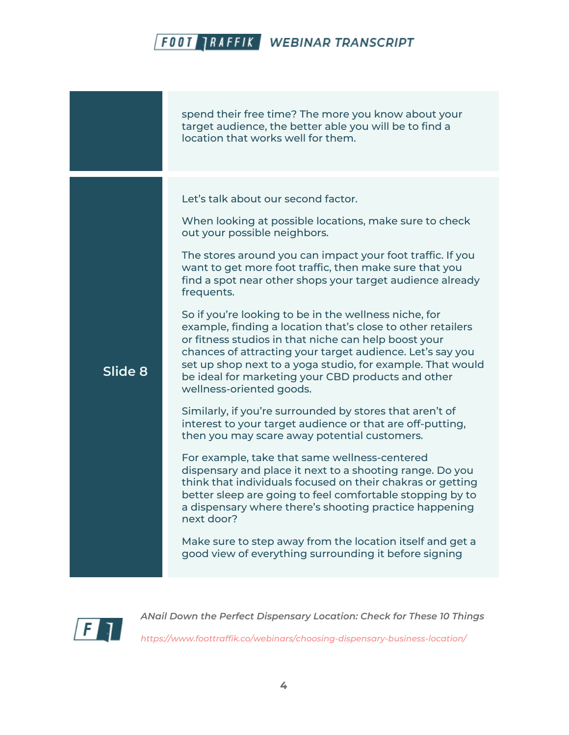|         | spend their free time? The more you know about your<br>target audience, the better able you will be to find a<br>location that works well for them.                                                                                                                                                                                                                                                                                                                                                                                                                                                                                                                                                                                                                                                                                                                                                                                                                                                                                                                                                                                                                                                                                                                                                                                          |
|---------|----------------------------------------------------------------------------------------------------------------------------------------------------------------------------------------------------------------------------------------------------------------------------------------------------------------------------------------------------------------------------------------------------------------------------------------------------------------------------------------------------------------------------------------------------------------------------------------------------------------------------------------------------------------------------------------------------------------------------------------------------------------------------------------------------------------------------------------------------------------------------------------------------------------------------------------------------------------------------------------------------------------------------------------------------------------------------------------------------------------------------------------------------------------------------------------------------------------------------------------------------------------------------------------------------------------------------------------------|
| Slide 8 | Let's talk about our second factor.<br>When looking at possible locations, make sure to check<br>out your possible neighbors.<br>The stores around you can impact your foot traffic. If you<br>want to get more foot traffic, then make sure that you<br>find a spot near other shops your target audience already<br>frequents.<br>So if you're looking to be in the wellness niche, for<br>example, finding a location that's close to other retailers<br>or fitness studios in that niche can help boost your<br>chances of attracting your target audience. Let's say you<br>set up shop next to a yoga studio, for example. That would<br>be ideal for marketing your CBD products and other<br>wellness-oriented goods.<br>Similarly, if you're surrounded by stores that aren't of<br>interest to your target audience or that are off-putting,<br>then you may scare away potential customers.<br>For example, take that same wellness-centered<br>dispensary and place it next to a shooting range. Do you<br>think that individuals focused on their chakras or getting<br>better sleep are going to feel comfortable stopping by to<br>a dispensary where there's shooting practice happening<br>next door?<br>Make sure to step away from the location itself and get a<br>good view of everything surrounding it before signing |

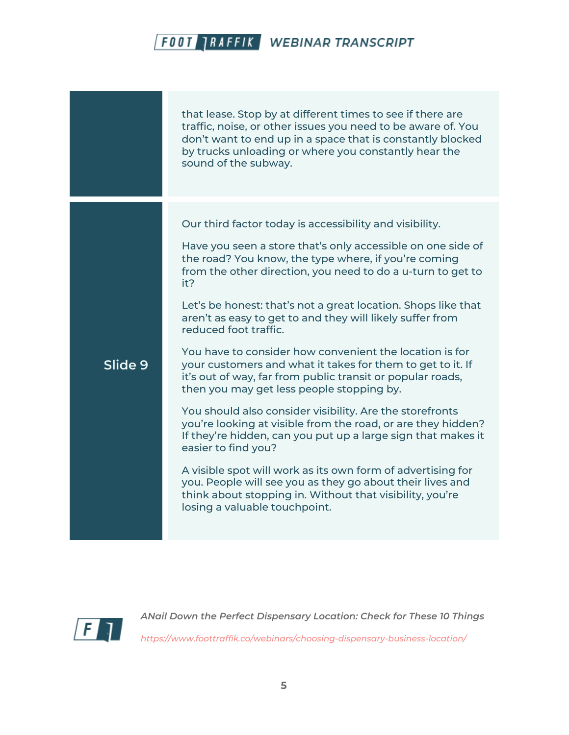|         | that lease. Stop by at different times to see if there are<br>traffic, noise, or other issues you need to be aware of. You<br>don't want to end up in a space that is constantly blocked<br>by trucks unloading or where you constantly hear the<br>sound of the subway.                                                                                                                                                                                                                                                                                                                                                                                                                                                                                                                                                                                                                                                                                                                                                                                                                    |
|---------|---------------------------------------------------------------------------------------------------------------------------------------------------------------------------------------------------------------------------------------------------------------------------------------------------------------------------------------------------------------------------------------------------------------------------------------------------------------------------------------------------------------------------------------------------------------------------------------------------------------------------------------------------------------------------------------------------------------------------------------------------------------------------------------------------------------------------------------------------------------------------------------------------------------------------------------------------------------------------------------------------------------------------------------------------------------------------------------------|
| Slide 9 | Our third factor today is accessibility and visibility.<br>Have you seen a store that's only accessible on one side of<br>the road? You know, the type where, if you're coming<br>from the other direction, you need to do a u-turn to get to<br>it?<br>Let's be honest: that's not a great location. Shops like that<br>aren't as easy to get to and they will likely suffer from<br>reduced foot traffic.<br>You have to consider how convenient the location is for<br>your customers and what it takes for them to get to it. If<br>it's out of way, far from public transit or popular roads,<br>then you may get less people stopping by.<br>You should also consider visibility. Are the storefronts<br>you're looking at visible from the road, or are they hidden?<br>If they're hidden, can you put up a large sign that makes it<br>easier to find you?<br>A visible spot will work as its own form of advertising for<br>you. People will see you as they go about their lives and<br>think about stopping in. Without that visibility, you're<br>losing a valuable touchpoint. |

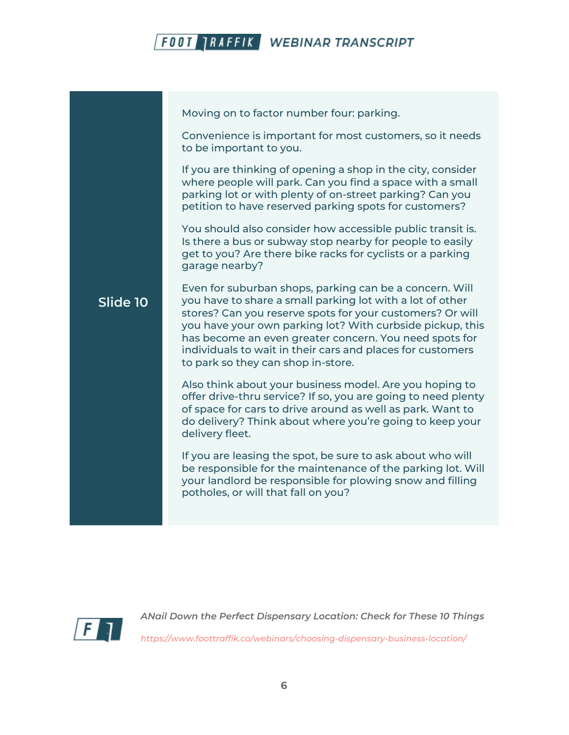

Moving on to factor number four: parking.

Convenience is important for most customers, so it needs to be important to you.

If you are thinking of opening a shop in the city, consider where people will park. Can you find a space with a small parking lot or with plenty of on-street parking? Can you petition to have reserved parking spots for customers?

You should also consider how accessible public transit is. Is there a bus or subway stop nearby for people to easily get to you? Are there bike racks for cyclists or a parking garage nearby?

#### **Slide 10** Even for suburban shops, parking can be a concern. Will you have to share a small parking lot with a lot of other stores? Can you reserve spots for your customers? Or will you have your own parking lot? With curbside pickup, this has become an even greater concern. You need spots for individuals to wait in their cars and places for customers to park so they can shop in-store.

Also think about your business model. Are you hoping to offer drive-thru service? If so, you are going to need plenty of space for cars to drive around as well as park. Want to do delivery? Think about where you're going to keep your delivery fleet.

If you are leasing the spot, be sure to ask about who will be responsible for the maintenance of the parking lot. Will your landlord be responsible for plowing snow and filling potholes, or will that fall on you?

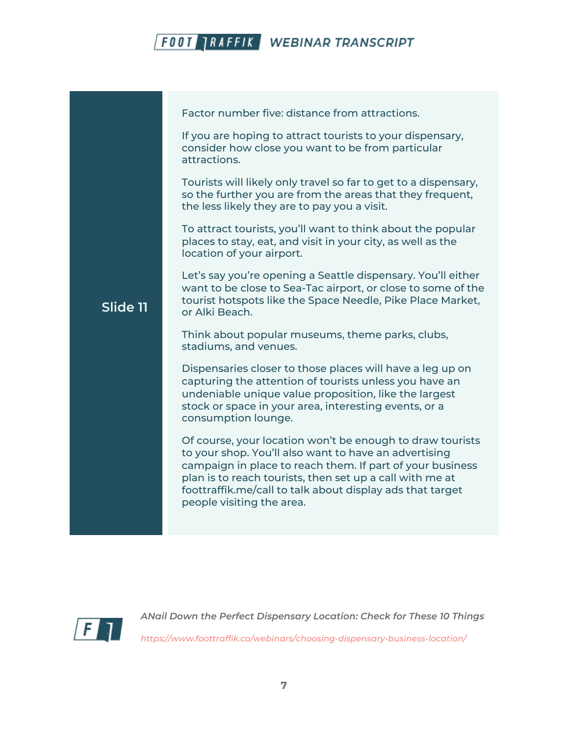

|          | Factor number five: distance from attractions.                                                                                                                                                                                                                                                                                        |
|----------|---------------------------------------------------------------------------------------------------------------------------------------------------------------------------------------------------------------------------------------------------------------------------------------------------------------------------------------|
|          | If you are hoping to attract tourists to your dispensary,<br>consider how close you want to be from particular<br>attractions.                                                                                                                                                                                                        |
|          | Tourists will likely only travel so far to get to a dispensary,<br>so the further you are from the areas that they frequent,<br>the less likely they are to pay you a visit.                                                                                                                                                          |
|          | To attract tourists, you'll want to think about the popular<br>places to stay, eat, and visit in your city, as well as the<br>location of your airport.                                                                                                                                                                               |
| Slide 11 | Let's say you're opening a Seattle dispensary. You'll either<br>want to be close to Sea-Tac airport, or close to some of the<br>tourist hotspots like the Space Needle, Pike Place Market,<br>or Alki Beach.                                                                                                                          |
|          | Think about popular museums, theme parks, clubs,<br>stadiums, and venues.                                                                                                                                                                                                                                                             |
|          | Dispensaries closer to those places will have a leg up on<br>capturing the attention of tourists unless you have an<br>undeniable unique value proposition, like the largest<br>stock or space in your area, interesting events, or a<br>consumption lounge.                                                                          |
|          | Of course, your location won't be enough to draw tourists<br>to your shop. You'll also want to have an advertising<br>campaign in place to reach them. If part of your business<br>plan is to reach tourists, then set up a call with me at<br>foottraffik.me/call to talk about display ads that target<br>people visiting the area. |
|          |                                                                                                                                                                                                                                                                                                                                       |

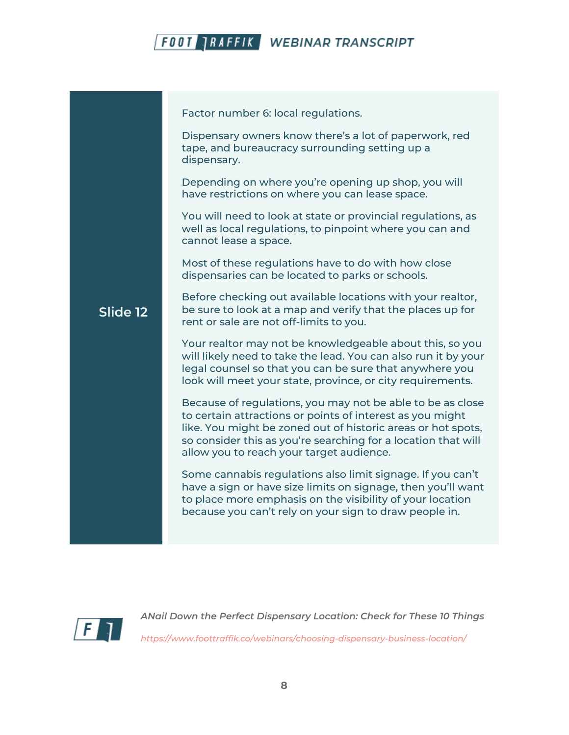

**Slide 12** Factor number 6: local regulations. Dispensary owners know there's a lot of paperwork, red tape, and bureaucracy surrounding setting up a dispensary. Depending on where you're opening up shop, you will have restrictions on where you can lease space. You will need to look at state or provincial regulations, as well as local regulations, to pinpoint where you can and cannot lease a space. Most of these regulations have to do with how close dispensaries can be located to parks or schools. Before checking out available locations with your realtor, be sure to look at a map and verify that the places up for rent or sale are not off-limits to you. Your realtor may not be knowledgeable about this, so you will likely need to take the lead. You can also run it by your legal counsel so that you can be sure that anywhere you look will meet your state, province, or city requirements. Because of regulations, you may not be able to be as close to certain attractions or points of interest as you might like. You might be zoned out of historic areas or hot spots, so consider this as you're searching for a location that will allow you to reach your target audience. Some cannabis regulations also limit signage. If you can't have a sign or have size limits on signage, then you'll want to place more emphasis on the visibility of your location because you can't rely on your sign to draw people in.

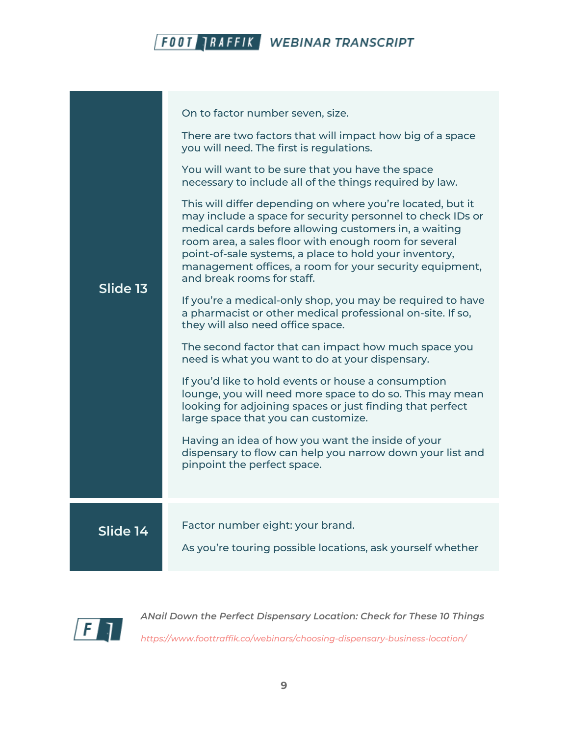| Slide 13 | On to factor number seven, size.<br>There are two factors that will impact how big of a space<br>you will need. The first is regulations.<br>You will want to be sure that you have the space<br>necessary to include all of the things required by law.<br>This will differ depending on where you're located, but it<br>may include a space for security personnel to check IDs or<br>medical cards before allowing customers in, a waiting<br>room area, a sales floor with enough room for several<br>point-of-sale systems, a place to hold your inventory,<br>management offices, a room for your security equipment,<br>and break rooms for staff.<br>If you're a medical-only shop, you may be required to have<br>a pharmacist or other medical professional on-site. If so,<br>they will also need office space.<br>The second factor that can impact how much space you<br>need is what you want to do at your dispensary.<br>If you'd like to hold events or house a consumption<br>lounge, you will need more space to do so. This may mean<br>looking for adjoining spaces or just finding that perfect<br>large space that you can customize.<br>Having an idea of how you want the inside of your<br>dispensary to flow can help you narrow down your list and<br>pinpoint the perfect space. |
|----------|---------------------------------------------------------------------------------------------------------------------------------------------------------------------------------------------------------------------------------------------------------------------------------------------------------------------------------------------------------------------------------------------------------------------------------------------------------------------------------------------------------------------------------------------------------------------------------------------------------------------------------------------------------------------------------------------------------------------------------------------------------------------------------------------------------------------------------------------------------------------------------------------------------------------------------------------------------------------------------------------------------------------------------------------------------------------------------------------------------------------------------------------------------------------------------------------------------------------------------------------------------------------------------------------------------------|
| Slide 14 | Factor number eight: your brand.<br>As you're touring possible locations, ask yourself whether                                                                                                                                                                                                                                                                                                                                                                                                                                                                                                                                                                                                                                                                                                                                                                                                                                                                                                                                                                                                                                                                                                                                                                                                                |

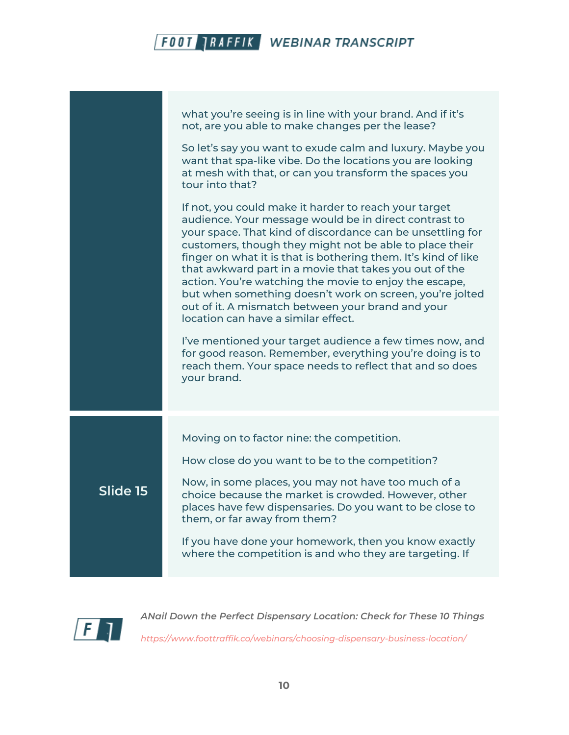|          | what you're seeing is in line with your brand. And if it's<br>not, are you able to make changes per the lease?                                                                                                                                                                                                                                                                                                                                                                                                                                                                        |
|----------|---------------------------------------------------------------------------------------------------------------------------------------------------------------------------------------------------------------------------------------------------------------------------------------------------------------------------------------------------------------------------------------------------------------------------------------------------------------------------------------------------------------------------------------------------------------------------------------|
|          | So let's say you want to exude calm and luxury. Maybe you<br>want that spa-like vibe. Do the locations you are looking<br>at mesh with that, or can you transform the spaces you<br>tour into that?                                                                                                                                                                                                                                                                                                                                                                                   |
|          | If not, you could make it harder to reach your target<br>audience. Your message would be in direct contrast to<br>your space. That kind of discordance can be unsettling for<br>customers, though they might not be able to place their<br>finger on what it is that is bothering them. It's kind of like<br>that awkward part in a movie that takes you out of the<br>action. You're watching the movie to enjoy the escape,<br>but when something doesn't work on screen, you're jolted<br>out of it. A mismatch between your brand and your<br>location can have a similar effect. |
|          | I've mentioned your target audience a few times now, and<br>for good reason. Remember, everything you're doing is to<br>reach them. Your space needs to reflect that and so does<br>your brand.                                                                                                                                                                                                                                                                                                                                                                                       |
|          | Moving on to factor nine: the competition.                                                                                                                                                                                                                                                                                                                                                                                                                                                                                                                                            |
|          | How close do you want to be to the competition?                                                                                                                                                                                                                                                                                                                                                                                                                                                                                                                                       |
| Slide 15 | Now, in some places, you may not have too much of a<br>choice because the market is crowded. However, other<br>places have few dispensaries. Do you want to be close to<br>them, or far away from them?                                                                                                                                                                                                                                                                                                                                                                               |
|          | If you have done your homework, then you know exactly<br>where the competition is and who they are targeting. If                                                                                                                                                                                                                                                                                                                                                                                                                                                                      |
|          |                                                                                                                                                                                                                                                                                                                                                                                                                                                                                                                                                                                       |
|          |                                                                                                                                                                                                                                                                                                                                                                                                                                                                                                                                                                                       |

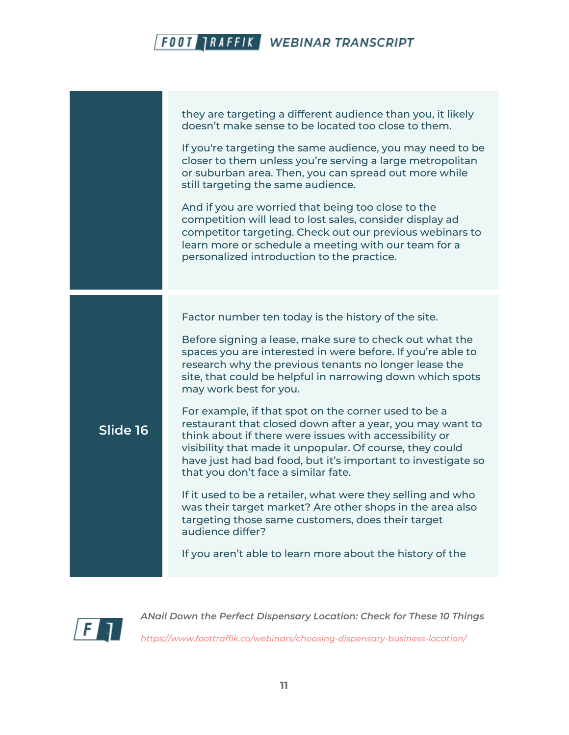|          | they are targeting a different audience than you, it likely<br>doesn't make sense to be located too close to them.                                                                                                                                                                                                                             |
|----------|------------------------------------------------------------------------------------------------------------------------------------------------------------------------------------------------------------------------------------------------------------------------------------------------------------------------------------------------|
|          | If you're targeting the same audience, you may need to be<br>closer to them unless you're serving a large metropolitan<br>or suburban area. Then, you can spread out more while<br>still targeting the same audience.                                                                                                                          |
|          | And if you are worried that being too close to the<br>competition will lead to lost sales, consider display ad<br>competitor targeting. Check out our previous webinars to<br>learn more or schedule a meeting with our team for a<br>personalized introduction to the practice.                                                               |
|          | Factor number ten today is the history of the site.                                                                                                                                                                                                                                                                                            |
|          | Before signing a lease, make sure to check out what the<br>spaces you are interested in were before. If you're able to<br>research why the previous tenants no longer lease the<br>site, that could be helpful in narrowing down which spots<br>may work best for you.                                                                         |
| Slide 16 | For example, if that spot on the corner used to be a<br>restaurant that closed down after a year, you may want to<br>think about if there were issues with accessibility or<br>visibility that made it unpopular. Of course, they could<br>have just had bad food, but it's important to investigate so<br>that you don't face a similar fate. |
|          | If it used to be a retailer, what were they selling and who<br>was their target market? Are other shops in the area also<br>targeting those same customers, does their target<br>audience differ?                                                                                                                                              |
|          | If you aren't able to learn more about the history of the                                                                                                                                                                                                                                                                                      |

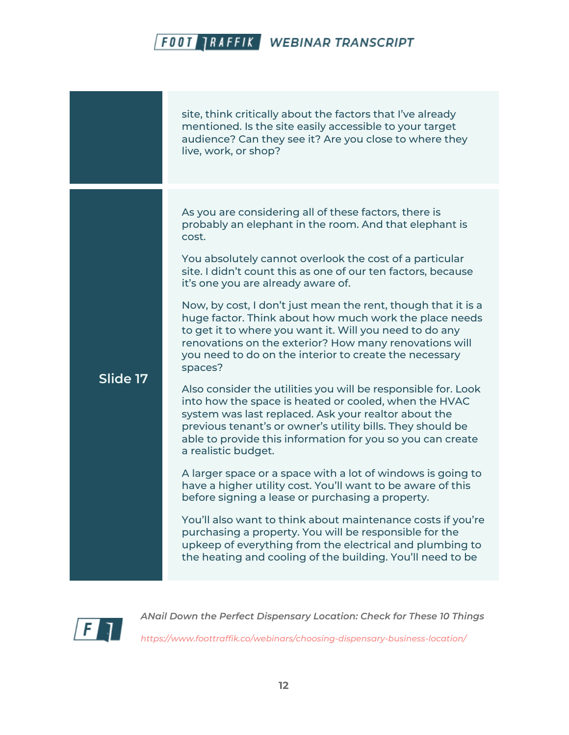site, think critically about the factors that I've already mentioned. Is the site easily accessible to your target audience? Can they see it? Are you close to where they live, work, or shop? **Slide 17** As you are considering all of these factors, there is probably an elephant in the room. And that elephant is cost. You absolutely cannot overlook the cost of a particular site. I didn't count this as one of our ten factors, because it's one you are already aware of. Now, by cost, I don't just mean the rent, though that it is a huge factor. Think about how much work the place needs to get it to where you want it. Will you need to do any renovations on the exterior? How many renovations will you need to do on the interior to create the necessary spaces? Also consider the utilities you will be responsible for. Look into how the space is heated or cooled, when the HVAC system was last replaced. Ask your realtor about the previous tenant's or owner's utility bills. They should be able to provide this information for you so you can create a realistic budget. A larger space or a space with a lot of windows is going to have a higher utility cost. You'll want to be aware of this before signing a lease or purchasing a property. You'll also want to think about maintenance costs if you're purchasing a property. You will be responsible for the upkeep of everything from the electrical and plumbing to the heating and cooling of the building. You'll need to be

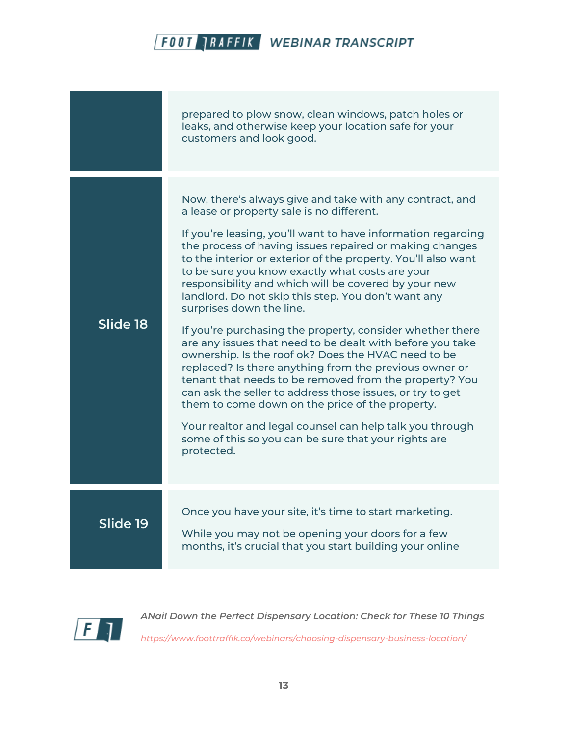|          | prepared to plow snow, clean windows, patch holes or<br>leaks, and otherwise keep your location safe for your<br>customers and look good.                                                                                                                                                                                                                                                                                                                                                                                                                                                                                                                                                                                                                                                                                                                                                                                                                                                                                                              |
|----------|--------------------------------------------------------------------------------------------------------------------------------------------------------------------------------------------------------------------------------------------------------------------------------------------------------------------------------------------------------------------------------------------------------------------------------------------------------------------------------------------------------------------------------------------------------------------------------------------------------------------------------------------------------------------------------------------------------------------------------------------------------------------------------------------------------------------------------------------------------------------------------------------------------------------------------------------------------------------------------------------------------------------------------------------------------|
| Slide 18 | Now, there's always give and take with any contract, and<br>a lease or property sale is no different.<br>If you're leasing, you'll want to have information regarding<br>the process of having issues repaired or making changes<br>to the interior or exterior of the property. You'll also want<br>to be sure you know exactly what costs are your<br>responsibility and which will be covered by your new<br>landlord. Do not skip this step. You don't want any<br>surprises down the line.<br>If you're purchasing the property, consider whether there<br>are any issues that need to be dealt with before you take<br>ownership. Is the roof ok? Does the HVAC need to be<br>replaced? Is there anything from the previous owner or<br>tenant that needs to be removed from the property? You<br>can ask the seller to address those issues, or try to get<br>them to come down on the price of the property.<br>Your realtor and legal counsel can help talk you through<br>some of this so you can be sure that your rights are<br>protected. |
| Slide 19 | Once you have your site, it's time to start marketing.<br>While you may not be opening your doors for a few<br>months, it's crucial that you start building your online                                                                                                                                                                                                                                                                                                                                                                                                                                                                                                                                                                                                                                                                                                                                                                                                                                                                                |

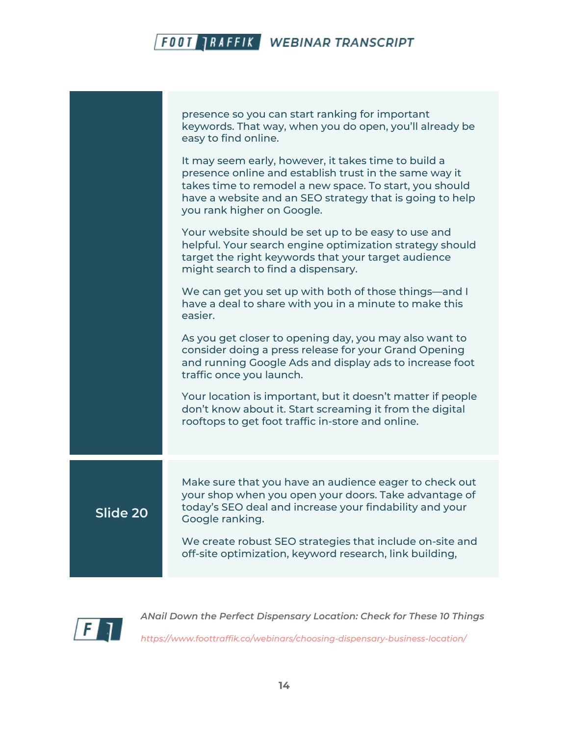|          | presence so you can start ranking for important<br>keywords. That way, when you do open, you'll already be<br>easy to find online.<br>It may seem early, however, it takes time to build a<br>presence online and establish trust in the same way it<br>takes time to remodel a new space. To start, you should<br>have a website and an SEO strategy that is going to help<br>you rank higher on Google. |
|----------|-----------------------------------------------------------------------------------------------------------------------------------------------------------------------------------------------------------------------------------------------------------------------------------------------------------------------------------------------------------------------------------------------------------|
|          | Your website should be set up to be easy to use and<br>helpful. Your search engine optimization strategy should<br>target the right keywords that your target audience<br>might search to find a dispensary.                                                                                                                                                                                              |
|          | We can get you set up with both of those things—and I<br>have a deal to share with you in a minute to make this<br>easier.                                                                                                                                                                                                                                                                                |
|          | As you get closer to opening day, you may also want to<br>consider doing a press release for your Grand Opening<br>and running Google Ads and display ads to increase foot<br>traffic once you launch.                                                                                                                                                                                                    |
|          | Your location is important, but it doesn't matter if people<br>don't know about it. Start screaming it from the digital<br>rooftops to get foot traffic in-store and online.                                                                                                                                                                                                                              |
|          | Make sure that you have an audience eager to check out                                                                                                                                                                                                                                                                                                                                                    |
| Slide 20 | your shop when you open your doors. Take advantage of<br>today's SEO deal and increase your findability and your<br>Google ranking.                                                                                                                                                                                                                                                                       |
|          | We create robust SEO strategies that include on-site and<br>off-site optimization, keyword research, link building,                                                                                                                                                                                                                                                                                       |
|          |                                                                                                                                                                                                                                                                                                                                                                                                           |

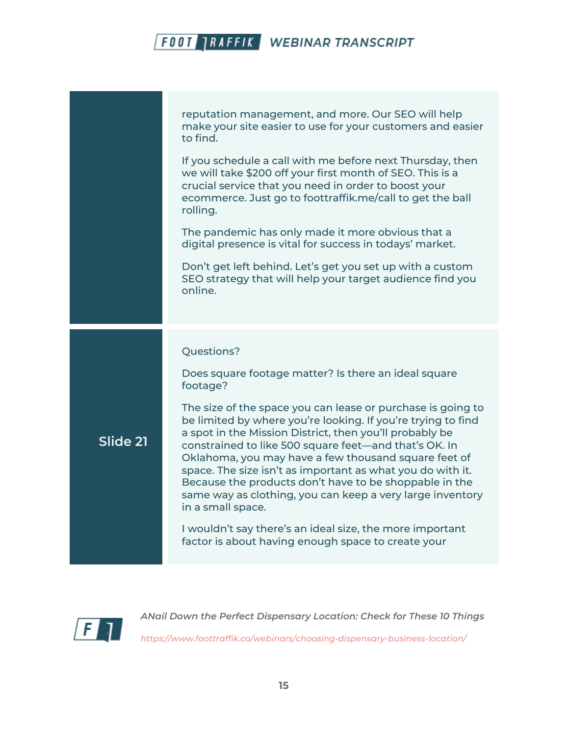reputation management, and more. Our SEO will help make your site easier to use for your customers and easier to find. If you schedule a call with me before next Thursday, then we will take \$200 off your first month of SEO. This is a crucial service that you need in order to boost your ecommerce. Just go to foottraffik.me/call to get the ball rolling. The pandemic has only made it more obvious that a digital presence is vital for success in todays' market. Don't get left behind. Let's get you set up with a custom SEO strategy that will help your target audience find you online. **Slide 21** Questions? Does square footage matter? Is there an ideal square footage? The size of the space you can lease or purchase is going to be limited by where you're looking. If you're trying to find a spot in the Mission District, then you'll probably be constrained to like 500 square feet—and that's OK. In Oklahoma, you may have a few thousand square feet of space. The size isn't as important as what you do with it. Because the products don't have to be shoppable in the same way as clothing, you can keep a very large inventory in a small space. I wouldn't say there's an ideal size, the more important factor is about having enough space to create your